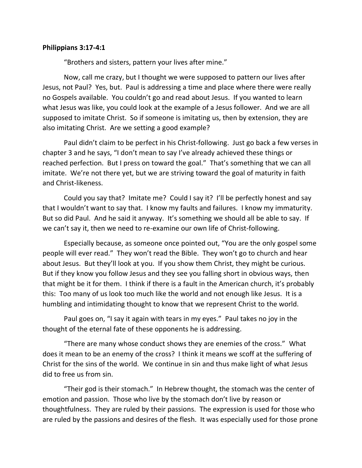## **Philippians 3:17-4:1**

"Brothers and sisters, pattern your lives after mine."

Now, call me crazy, but I thought we were supposed to pattern our lives after Jesus, not Paul? Yes, but. Paul is addressing a time and place where there were really no Gospels available. You couldn't go and read about Jesus. If you wanted to learn what Jesus was like, you could look at the example of a Jesus follower. And we are all supposed to imitate Christ. So if someone is imitating us, then by extension, they are also imitating Christ. Are we setting a good example?

Paul didn't claim to be perfect in his Christ-following. Just go back a few verses in chapter 3 and he says, "I don't mean to say I've already achieved these things or reached perfection. But I press on toward the goal." That's something that we can all imitate. We're not there yet, but we are striving toward the goal of maturity in faith and Christ-likeness.

Could you say that? Imitate me? Could I say it? I'll be perfectly honest and say that I wouldn't want to say that. I know my faults and failures. I know my immaturity. But so did Paul. And he said it anyway. It's something we should all be able to say. If we can't say it, then we need to re-examine our own life of Christ-following.

Especially because, as someone once pointed out, "You are the only gospel some people will ever read." They won't read the Bible. They won't go to church and hear about Jesus. But they'll look at you. If you show them Christ, they might be curious. But if they know you follow Jesus and they see you falling short in obvious ways, then that might be it for them. I think if there is a fault in the American church, it's probably this: Too many of us look too much like the world and not enough like Jesus. It is a humbling and intimidating thought to know that we represent Christ to the world.

Paul goes on, "I say it again with tears in my eyes." Paul takes no joy in the thought of the eternal fate of these opponents he is addressing.

"There are many whose conduct shows they are enemies of the cross." What does it mean to be an enemy of the cross? I think it means we scoff at the suffering of Christ for the sins of the world. We continue in sin and thus make light of what Jesus did to free us from sin.

"Their god is their stomach." In Hebrew thought, the stomach was the center of emotion and passion. Those who live by the stomach don't live by reason or thoughtfulness. They are ruled by their passions. The expression is used for those who are ruled by the passions and desires of the flesh. It was especially used for those prone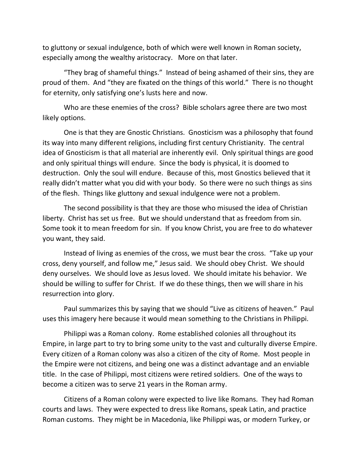to gluttony or sexual indulgence, both of which were well known in Roman society, especially among the wealthy aristocracy. More on that later.

"They brag of shameful things." Instead of being ashamed of their sins, they are proud of them. And "they are fixated on the things of this world." There is no thought for eternity, only satisfying one's lusts here and now.

Who are these enemies of the cross? Bible scholars agree there are two most likely options.

One is that they are Gnostic Christians. Gnosticism was a philosophy that found its way into many different religions, including first century Christianity. The central idea of Gnosticism is that all material are inherently evil. Only spiritual things are good and only spiritual things will endure. Since the body is physical, it is doomed to destruction. Only the soul will endure. Because of this, most Gnostics believed that it really didn't matter what you did with your body. So there were no such things as sins of the flesh. Things like gluttony and sexual indulgence were not a problem.

The second possibility is that they are those who misused the idea of Christian liberty. Christ has set us free. But we should understand that as freedom from sin. Some took it to mean freedom for sin. If you know Christ, you are free to do whatever you want, they said.

Instead of living as enemies of the cross, we must bear the cross. "Take up your cross, deny yourself, and follow me," Jesus said. We should obey Christ. We should deny ourselves. We should love as Jesus loved. We should imitate his behavior. We should be willing to suffer for Christ. If we do these things, then we will share in his resurrection into glory.

Paul summarizes this by saying that we should "Live as citizens of heaven." Paul uses this imagery here because it would mean something to the Christians in Philippi.

Philippi was a Roman colony. Rome established colonies all throughout its Empire, in large part to try to bring some unity to the vast and culturally diverse Empire. Every citizen of a Roman colony was also a citizen of the city of Rome. Most people in the Empire were not citizens, and being one was a distinct advantage and an enviable title. In the case of Philippi, most citizens were retired soldiers. One of the ways to become a citizen was to serve 21 years in the Roman army.

Citizens of a Roman colony were expected to live like Romans. They had Roman courts and laws. They were expected to dress like Romans, speak Latin, and practice Roman customs. They might be in Macedonia, like Philippi was, or modern Turkey, or